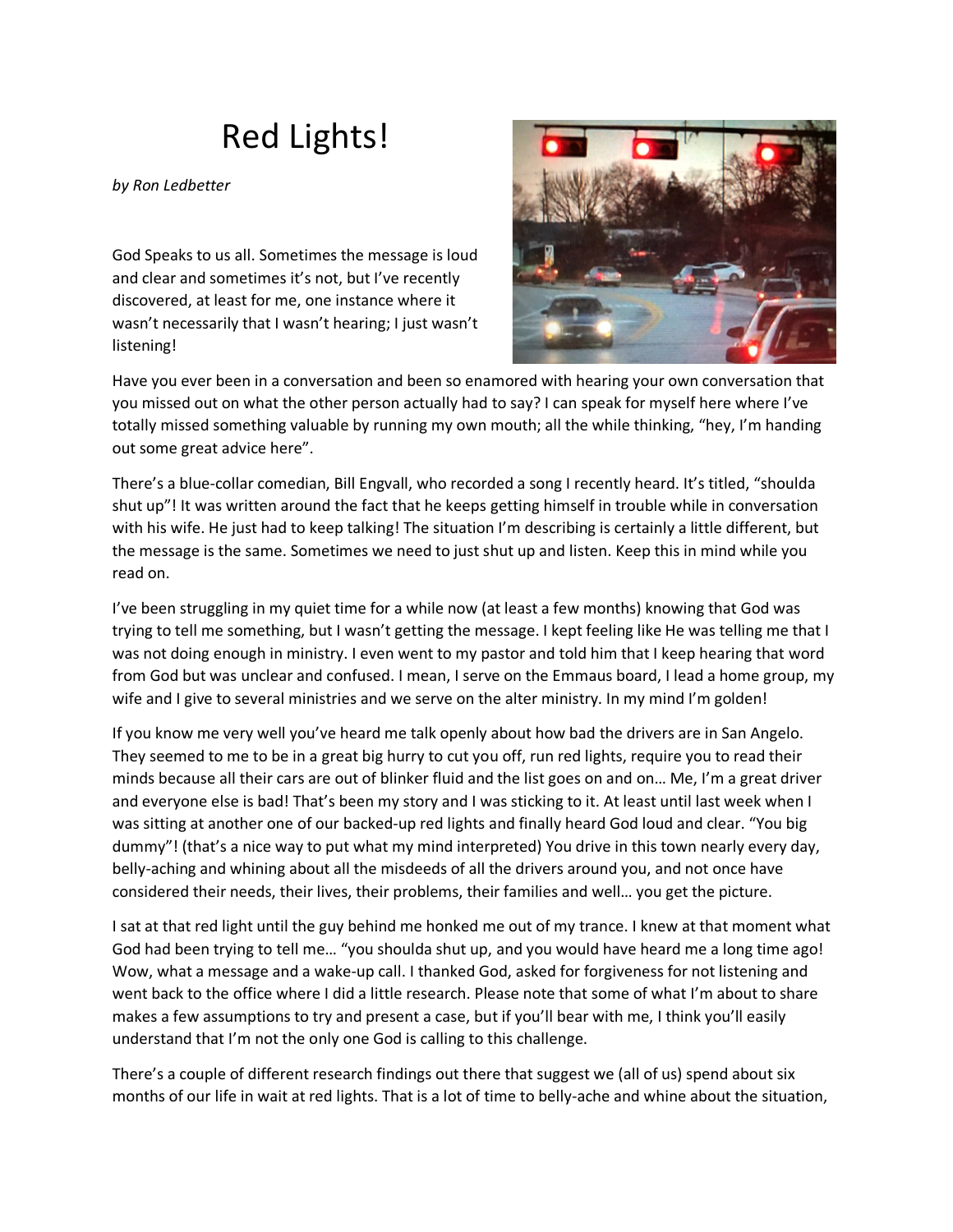## Red Lights!

*by Ron Ledbetter*

God Speaks to us all. Sometimes the message is loud and clear and sometimes it's not, but I've recently discovered, at least for me, one instance where it wasn't necessarily that I wasn't hearing; I just wasn't listening!



Have you ever been in a conversation and been so enamored with hearing your own conversation that you missed out on what the other person actually had to say? I can speak for myself here where I've totally missed something valuable by running my own mouth; all the while thinking, "hey, I'm handing out some great advice here".

There's a blue-collar comedian, Bill Engvall, who recorded a song I recently heard. It's titled, "shoulda shut up"! It was written around the fact that he keeps getting himself in trouble while in conversation with his wife. He just had to keep talking! The situation I'm describing is certainly a little different, but the message is the same. Sometimes we need to just shut up and listen. Keep this in mind while you read on.

I've been struggling in my quiet time for a while now (at least a few months) knowing that God was trying to tell me something, but I wasn't getting the message. I kept feeling like He was telling me that I was not doing enough in ministry. I even went to my pastor and told him that I keep hearing that word from God but was unclear and confused. I mean, I serve on the Emmaus board, I lead a home group, my wife and I give to several ministries and we serve on the alter ministry. In my mind I'm golden!

If you know me very well you've heard me talk openly about how bad the drivers are in San Angelo. They seemed to me to be in a great big hurry to cut you off, run red lights, require you to read their minds because all their cars are out of blinker fluid and the list goes on and on… Me, I'm a great driver and everyone else is bad! That's been my story and I was sticking to it. At least until last week when I was sitting at another one of our backed-up red lights and finally heard God loud and clear. "You big dummy"! (that's a nice way to put what my mind interpreted) You drive in this town nearly every day, belly-aching and whining about all the misdeeds of all the drivers around you, and not once have considered their needs, their lives, their problems, their families and well… you get the picture.

I sat at that red light until the guy behind me honked me out of my trance. I knew at that moment what God had been trying to tell me… "you shoulda shut up, and you would have heard me a long time ago! Wow, what a message and a wake-up call. I thanked God, asked for forgiveness for not listening and went back to the office where I did a little research. Please note that some of what I'm about to share makes a few assumptions to try and present a case, but if you'll bear with me, I think you'll easily understand that I'm not the only one God is calling to this challenge.

There's a couple of different research findings out there that suggest we (all of us) spend about six months of our life in wait at red lights. That is a lot of time to belly-ache and whine about the situation,